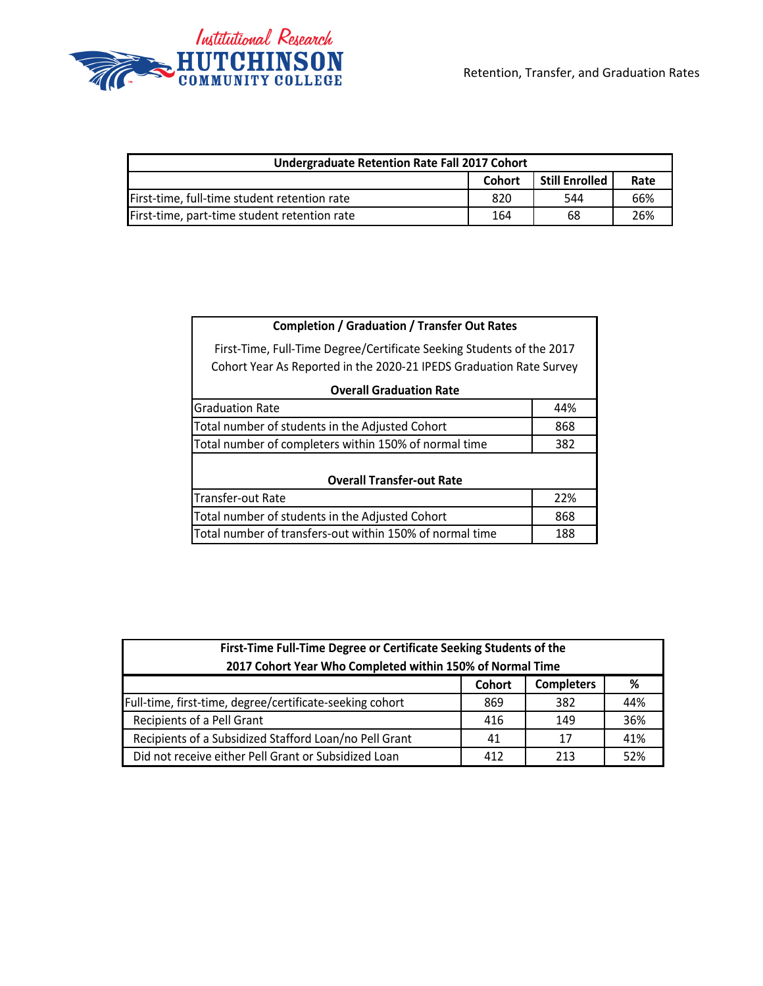

| <b>Undergraduate Retention Rate Fall 2017 Cohort</b> |        |                |      |  |  |
|------------------------------------------------------|--------|----------------|------|--|--|
|                                                      | Cohort | Still Enrolled | Rate |  |  |
| First-time, full-time student retention rate         | 820    | 544            | 66%  |  |  |
| First-time, part-time student retention rate         | 164    | 68             | 26%  |  |  |

| <b>Completion / Graduation / Transfer Out Rates</b>                   |     |  |  |  |  |
|-----------------------------------------------------------------------|-----|--|--|--|--|
| First-Time, Full-Time Degree/Certificate Seeking Students of the 2017 |     |  |  |  |  |
| Cohort Year As Reported in the 2020-21 IPEDS Graduation Rate Survey   |     |  |  |  |  |
| <b>Overall Graduation Rate</b>                                        |     |  |  |  |  |
| <b>Graduation Rate</b>                                                | 44% |  |  |  |  |
| Total number of students in the Adjusted Cohort<br>868                |     |  |  |  |  |
| Total number of completers within 150% of normal time<br>382          |     |  |  |  |  |
|                                                                       |     |  |  |  |  |
| <b>Overall Transfer-out Rate</b>                                      |     |  |  |  |  |
| Transfer-out Rate<br>22%                                              |     |  |  |  |  |
| Total number of students in the Adjusted Cohort<br>868                |     |  |  |  |  |
| Total number of transfers-out within 150% of normal time<br>188       |     |  |  |  |  |

| First-Time Full-Time Degree or Certificate Seeking Students of the |     |     |     |  |  |  |
|--------------------------------------------------------------------|-----|-----|-----|--|--|--|
| 2017 Cohort Year Who Completed within 150% of Normal Time          |     |     |     |  |  |  |
| Cohort<br><b>Completers</b><br>%                                   |     |     |     |  |  |  |
| Full-time, first-time, degree/certificate-seeking cohort           | 869 | 382 | 44% |  |  |  |
| Recipients of a Pell Grant                                         | 416 | 149 | 36% |  |  |  |
| Recipients of a Subsidized Stafford Loan/no Pell Grant             | 41  | 17  | 41% |  |  |  |
| Did not receive either Pell Grant or Subsidized Loan               | 412 | 213 | 52% |  |  |  |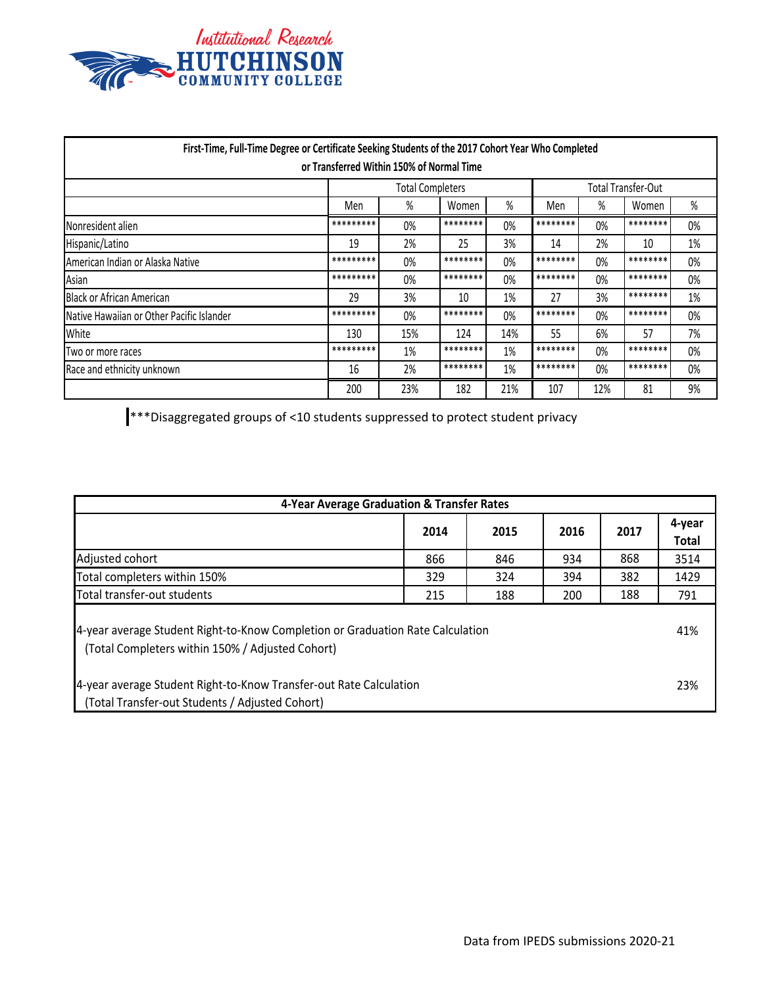

| First-Time, Full-Time Degree or Certificate Seeking Students of the 2017 Cohort Year Who Completed |                         | or Transferred Within 150% of Normal Time |          |     |                    |       |          |    |
|----------------------------------------------------------------------------------------------------|-------------------------|-------------------------------------------|----------|-----|--------------------|-------|----------|----|
|                                                                                                    | <b>Total Completers</b> |                                           |          |     | Total Transfer-Out |       |          |    |
|                                                                                                    | %<br>%<br>Men<br>Women  |                                           |          | Men | %                  | Women | $\%$     |    |
| Nonresident alien                                                                                  | *********               | 0%                                        | ******** | 0%  | ********           | 0%    | ******** | 0% |
| Hispanic/Latino                                                                                    | 19                      | 2%                                        | 25       | 3%  | 14                 | 2%    | 10       | 1% |
| American Indian or Alaska Native                                                                   | *********               | 0%                                        | ******** | 0%  | ********           | 0%    | ******** | 0% |
| Asian                                                                                              | *********               | 0%                                        | ******** | 0%  | ********           | 0%    | ******** | 0% |
| <b>Black or African American</b>                                                                   | 29                      | 3%                                        | 10       | 1%  | 27                 | 3%    | ******** | 1% |
| Native Hawaiian or Other Pacific Islander                                                          | *********               | 0%                                        | ******** | 0%  | ********           | 0%    | ******** | 0% |
| White                                                                                              | 130                     | 15%                                       | 124      | 14% | 55                 | 6%    | 57       | 7% |
| Two or more races                                                                                  | *********               | 1%                                        | ******** | 1%  | ********           | 0%    | ******** | 0% |
| Race and ethnicity unknown                                                                         | 16                      | 2%                                        | ******** | 1%  | ********           | 0%    | ******** | 0% |
|                                                                                                    | 200                     | 23%                                       | 182      | 21% | 107                | 12%   | 81       | 9% |

\*\*\*Disaggregated groups of <10 students suppressed to protect student privacy

| 4-Year Average Graduation & Transfer Rates                                                                                         |      |      |      |      |                        |  |
|------------------------------------------------------------------------------------------------------------------------------------|------|------|------|------|------------------------|--|
|                                                                                                                                    | 2014 | 2015 | 2016 | 2017 | 4-year<br><b>Total</b> |  |
| Adjusted cohort                                                                                                                    | 866  | 846  | 934  | 868  | 3514                   |  |
| Total completers within 150%                                                                                                       | 329  | 324  | 394  | 382  | 1429                   |  |
| Total transfer-out students                                                                                                        | 215  | 188  | 200  | 188  | 791                    |  |
| 4-year average Student Right-to-Know Completion or Graduation Rate Calculation<br>(Total Completers within 150% / Adjusted Cohort) |      |      |      |      |                        |  |
| 4-year average Student Right-to-Know Transfer-out Rate Calculation<br>(Total Transfer-out Students / Adjusted Cohort)              |      |      |      |      | 23%                    |  |